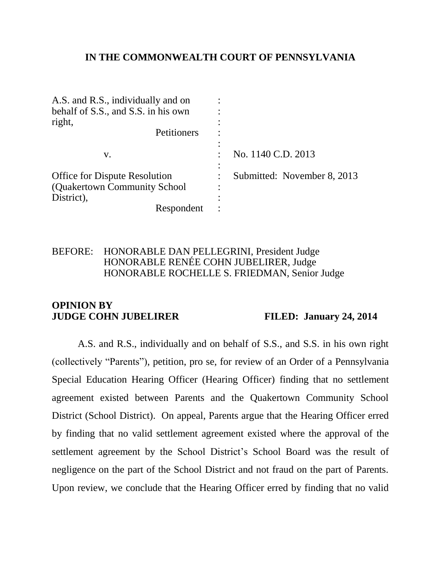# **IN THE COMMONWEALTH COURT OF PENNSYLVANIA**

| A.S. and R.S., individually and on   |                             |
|--------------------------------------|-----------------------------|
| behalf of S.S., and S.S. in his own  |                             |
| right,                               |                             |
| Petitioners                          |                             |
| V.                                   | No. 1140 C.D. 2013          |
| <b>Office for Dispute Resolution</b> | Submitted: November 8, 2013 |
| (Quakertown Community School)        |                             |
| District),                           |                             |
| Respondent                           |                             |

# BEFORE: HONORABLE DAN PELLEGRINI, President Judge HONORABLE RENÉE COHN JUBELIRER, Judge HONORABLE ROCHELLE S. FRIEDMAN, Senior Judge

#### **OPINION BY JUDGE COHN JUBELIRER FILED: January 24, 2014**

A.S. and R.S., individually and on behalf of S.S., and S.S. in his own right (collectively "Parents"), petition, pro se, for review of an Order of a Pennsylvania Special Education Hearing Officer (Hearing Officer) finding that no settlement agreement existed between Parents and the Quakertown Community School District (School District). On appeal, Parents argue that the Hearing Officer erred by finding that no valid settlement agreement existed where the approval of the settlement agreement by the School District's School Board was the result of negligence on the part of the School District and not fraud on the part of Parents. Upon review, we conclude that the Hearing Officer erred by finding that no valid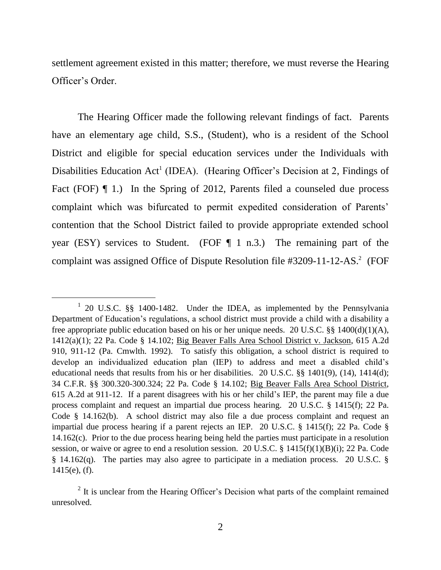settlement agreement existed in this matter; therefore, we must reverse the Hearing Officer's Order.

The Hearing Officer made the following relevant findings of fact. Parents have an elementary age child, S.S., (Student), who is a resident of the School District and eligible for special education services under the Individuals with Disabilities Education Act<sup>1</sup> (IDEA). (Hearing Officer's Decision at 2, Findings of Fact (FOF)  $\P$  1.) In the Spring of 2012, Parents filed a counseled due process complaint which was bifurcated to permit expedited consideration of Parents' contention that the School District failed to provide appropriate extended school year (ESY) services to Student. (FOF  $\P$  1 n.3.) The remaining part of the complaint was assigned Office of Dispute Resolution file  $#3209-11-12-AS.^2$  (FOF

l

<sup>&</sup>lt;sup>1</sup> 20 U.S.C. §§ 1400-1482. Under the IDEA, as implemented by the Pennsylvania Department of Education's regulations, a school district must provide a child with a disability a free appropriate public education based on his or her unique needs. 20 U.S.C. §§ 1400(d)(1)(A), 1412(a)(1); 22 Pa. Code § 14.102; Big Beaver Falls Area School District v. Jackson, 615 A.2d 910, 911-12 (Pa. Cmwlth. 1992). To satisfy this obligation, a school district is required to develop an individualized education plan (IEP) to address and meet a disabled child's educational needs that results from his or her disabilities. 20 U.S.C. §§ 1401(9), (14), 1414(d); 34 C.F.R. §§ 300.320-300.324; 22 Pa. Code § 14.102; Big Beaver Falls Area School District, 615 A.2d at 911-12. If a parent disagrees with his or her child's IEP, the parent may file a due process complaint and request an impartial due process hearing. 20 U.S.C. § 1415(f); 22 Pa. Code § 14.162(b). A school district may also file a due process complaint and request an impartial due process hearing if a parent rejects an IEP. 20 U.S.C. § 1415(f); 22 Pa. Code § 14.162(c). Prior to the due process hearing being held the parties must participate in a resolution session, or waive or agree to end a resolution session. 20 U.S.C. § 1415(f)(1)(B)(i); 22 Pa. Code § 14.162(q). The parties may also agree to participate in a mediation process. 20 U.S.C. § 1415(e), (f).

 $2$  It is unclear from the Hearing Officer's Decision what parts of the complaint remained unresolved.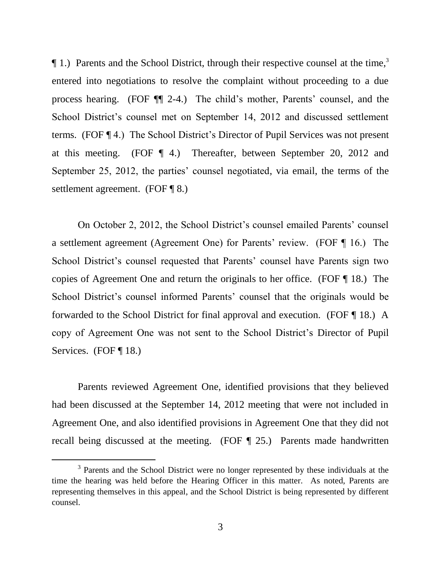¶ 1.) Parents and the School District, through their respective counsel at the time, 3 entered into negotiations to resolve the complaint without proceeding to a due process hearing. (FOF ¶¶ 2-4.) The child's mother, Parents' counsel, and the School District's counsel met on September 14, 2012 and discussed settlement terms. (FOF ¶ 4.) The School District's Director of Pupil Services was not present at this meeting. (FOF ¶ 4.) Thereafter, between September 20, 2012 and September 25, 2012, the parties' counsel negotiated, via email, the terms of the settlement agreement. (FOF ¶ 8.)

On October 2, 2012, the School District's counsel emailed Parents' counsel a settlement agreement (Agreement One) for Parents' review. (FOF ¶ 16.) The School District's counsel requested that Parents' counsel have Parents sign two copies of Agreement One and return the originals to her office. (FOF ¶ 18.) The School District's counsel informed Parents' counsel that the originals would be forwarded to the School District for final approval and execution. (FOF ¶ 18.) A copy of Agreement One was not sent to the School District's Director of Pupil Services. (FOF ¶ 18.)

Parents reviewed Agreement One, identified provisions that they believed had been discussed at the September 14, 2012 meeting that were not included in Agreement One, and also identified provisions in Agreement One that they did not recall being discussed at the meeting. (FOF ¶ 25.) Parents made handwritten

<sup>&</sup>lt;sup>3</sup> Parents and the School District were no longer represented by these individuals at the time the hearing was held before the Hearing Officer in this matter. As noted, Parents are representing themselves in this appeal, and the School District is being represented by different counsel.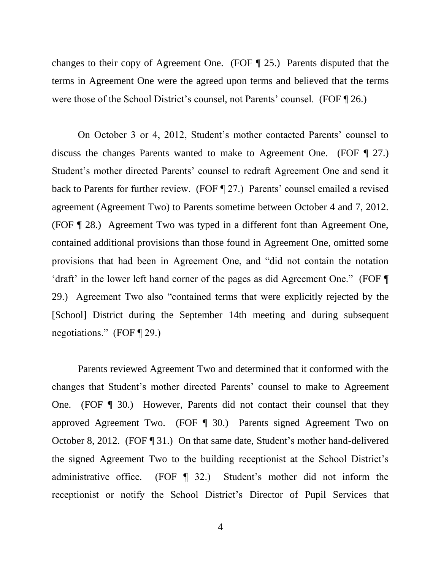changes to their copy of Agreement One. (FOF ¶ 25.) Parents disputed that the terms in Agreement One were the agreed upon terms and believed that the terms were those of the School District's counsel, not Parents' counsel. (FOF ¶ 26.)

On October 3 or 4, 2012, Student's mother contacted Parents' counsel to discuss the changes Parents wanted to make to Agreement One. (FOF ¶ 27.) Student's mother directed Parents' counsel to redraft Agreement One and send it back to Parents for further review. (FOF ¶ 27.) Parents' counsel emailed a revised agreement (Agreement Two) to Parents sometime between October 4 and 7, 2012. (FOF ¶ 28.) Agreement Two was typed in a different font than Agreement One, contained additional provisions than those found in Agreement One, omitted some provisions that had been in Agreement One, and "did not contain the notation 'draft' in the lower left hand corner of the pages as did Agreement One." (FOF ¶ 29.) Agreement Two also "contained terms that were explicitly rejected by the [School] District during the September 14th meeting and during subsequent negotiations." (FOF ¶ 29.)

Parents reviewed Agreement Two and determined that it conformed with the changes that Student's mother directed Parents' counsel to make to Agreement One. (FOF ¶ 30.) However, Parents did not contact their counsel that they approved Agreement Two. (FOF ¶ 30.) Parents signed Agreement Two on October 8, 2012. (FOF ¶ 31.) On that same date, Student's mother hand-delivered the signed Agreement Two to the building receptionist at the School District's administrative office. (FOF ¶ 32.) Student's mother did not inform the receptionist or notify the School District's Director of Pupil Services that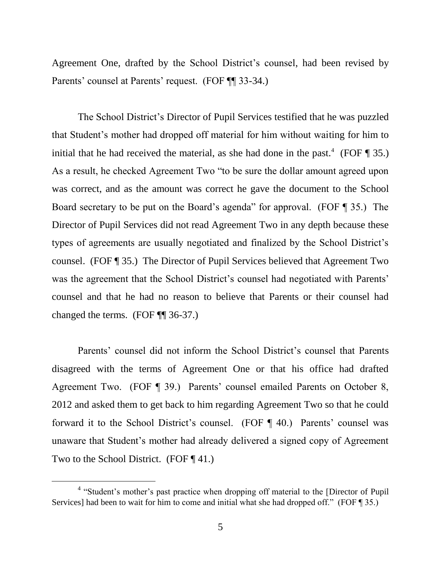Agreement One, drafted by the School District's counsel, had been revised by Parents' counsel at Parents' request. (FOF ¶¶ 33-34.)

The School District's Director of Pupil Services testified that he was puzzled that Student's mother had dropped off material for him without waiting for him to initial that he had received the material, as she had done in the past.<sup>4</sup> (FOF  $\P$  35.) As a result, he checked Agreement Two "to be sure the dollar amount agreed upon was correct, and as the amount was correct he gave the document to the School Board secretary to be put on the Board's agenda" for approval. (FOF ¶ 35.) The Director of Pupil Services did not read Agreement Two in any depth because these types of agreements are usually negotiated and finalized by the School District's counsel. (FOF ¶ 35.) The Director of Pupil Services believed that Agreement Two was the agreement that the School District's counsel had negotiated with Parents' counsel and that he had no reason to believe that Parents or their counsel had changed the terms. (FOF ¶¶ 36-37.)

Parents' counsel did not inform the School District's counsel that Parents disagreed with the terms of Agreement One or that his office had drafted Agreement Two. (FOF ¶ 39.) Parents' counsel emailed Parents on October 8, 2012 and asked them to get back to him regarding Agreement Two so that he could forward it to the School District's counsel. (FOF ¶ 40.) Parents' counsel was unaware that Student's mother had already delivered a signed copy of Agreement Two to the School District. (FOF ¶ 41.)

<sup>&</sup>lt;sup>4</sup> "Student's mother's past practice when dropping off material to the [Director of Pupil Services] had been to wait for him to come and initial what she had dropped off." (FOF ¶ 35.)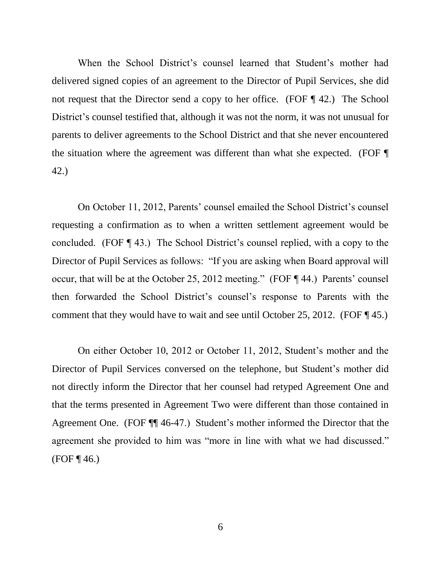When the School District's counsel learned that Student's mother had delivered signed copies of an agreement to the Director of Pupil Services, she did not request that the Director send a copy to her office. (FOF ¶ 42.) The School District's counsel testified that, although it was not the norm, it was not unusual for parents to deliver agreements to the School District and that she never encountered the situation where the agreement was different than what she expected. (FOF ¶ 42.)

On October 11, 2012, Parents' counsel emailed the School District's counsel requesting a confirmation as to when a written settlement agreement would be concluded. (FOF ¶ 43.) The School District's counsel replied, with a copy to the Director of Pupil Services as follows: "If you are asking when Board approval will occur, that will be at the October 25, 2012 meeting." (FOF ¶ 44.) Parents' counsel then forwarded the School District's counsel's response to Parents with the comment that they would have to wait and see until October 25, 2012. (FOF  $\P$  45.)

On either October 10, 2012 or October 11, 2012, Student's mother and the Director of Pupil Services conversed on the telephone, but Student's mother did not directly inform the Director that her counsel had retyped Agreement One and that the terms presented in Agreement Two were different than those contained in Agreement One. (FOF ¶¶ 46-47.) Student's mother informed the Director that the agreement she provided to him was "more in line with what we had discussed."  $(FOF \, 46.)$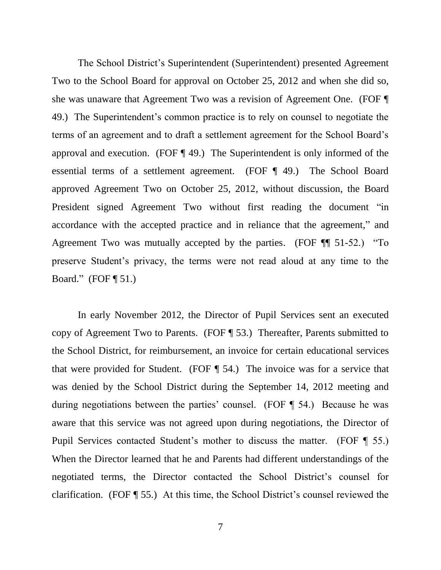The School District's Superintendent (Superintendent) presented Agreement Two to the School Board for approval on October 25, 2012 and when she did so, she was unaware that Agreement Two was a revision of Agreement One. (FOF ¶ 49.) The Superintendent's common practice is to rely on counsel to negotiate the terms of an agreement and to draft a settlement agreement for the School Board's approval and execution. (FOF ¶ 49.) The Superintendent is only informed of the essential terms of a settlement agreement. (FOF ¶ 49.) The School Board approved Agreement Two on October 25, 2012, without discussion, the Board President signed Agreement Two without first reading the document "in accordance with the accepted practice and in reliance that the agreement," and Agreement Two was mutually accepted by the parties. (FOF ¶¶ 51-52.) "To preserve Student's privacy, the terms were not read aloud at any time to the Board."  $(FOF \mathbin{\llbracket} 51.)$ 

In early November 2012, the Director of Pupil Services sent an executed copy of Agreement Two to Parents. (FOF ¶ 53.) Thereafter, Parents submitted to the School District, for reimbursement, an invoice for certain educational services that were provided for Student. (FOF ¶ 54.) The invoice was for a service that was denied by the School District during the September 14, 2012 meeting and during negotiations between the parties' counsel. (FOF ¶ 54.) Because he was aware that this service was not agreed upon during negotiations, the Director of Pupil Services contacted Student's mother to discuss the matter. (FOF ¶ 55.) When the Director learned that he and Parents had different understandings of the negotiated terms, the Director contacted the School District's counsel for clarification. (FOF ¶ 55.) At this time, the School District's counsel reviewed the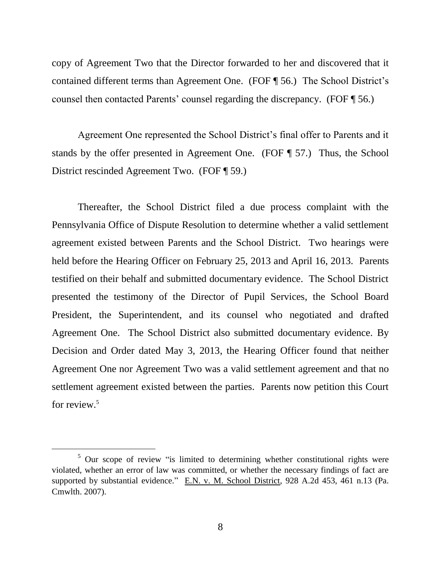copy of Agreement Two that the Director forwarded to her and discovered that it contained different terms than Agreement One. (FOF ¶ 56.) The School District's counsel then contacted Parents' counsel regarding the discrepancy. (FOF ¶ 56.)

Agreement One represented the School District's final offer to Parents and it stands by the offer presented in Agreement One. (FOF ¶ 57.) Thus, the School District rescinded Agreement Two. (FOF ¶ 59.)

Thereafter, the School District filed a due process complaint with the Pennsylvania Office of Dispute Resolution to determine whether a valid settlement agreement existed between Parents and the School District. Two hearings were held before the Hearing Officer on February 25, 2013 and April 16, 2013. Parents testified on their behalf and submitted documentary evidence. The School District presented the testimony of the Director of Pupil Services, the School Board President, the Superintendent, and its counsel who negotiated and drafted Agreement One. The School District also submitted documentary evidence. By Decision and Order dated May 3, 2013, the Hearing Officer found that neither Agreement One nor Agreement Two was a valid settlement agreement and that no settlement agreement existed between the parties. Parents now petition this Court for review.<sup>5</sup>

 $5$  Our scope of review "is limited to determining whether constitutional rights were violated, whether an error of law was committed, or whether the necessary findings of fact are supported by substantial evidence." E.N. v. M. School District, 928 A.2d 453, 461 n.13 (Pa. Cmwlth. 2007).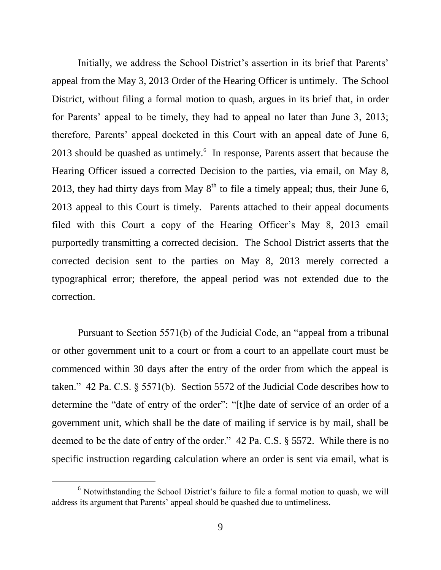Initially, we address the School District's assertion in its brief that Parents' appeal from the May 3, 2013 Order of the Hearing Officer is untimely. The School District, without filing a formal motion to quash, argues in its brief that, in order for Parents' appeal to be timely, they had to appeal no later than June 3, 2013; therefore, Parents' appeal docketed in this Court with an appeal date of June 6, 2013 should be quashed as untimely.<sup>6</sup> In response, Parents assert that because the Hearing Officer issued a corrected Decision to the parties, via email, on May 8, 2013, they had thirty days from May  $8<sup>th</sup>$  to file a timely appeal; thus, their June 6, 2013 appeal to this Court is timely. Parents attached to their appeal documents filed with this Court a copy of the Hearing Officer's May 8, 2013 email purportedly transmitting a corrected decision. The School District asserts that the corrected decision sent to the parties on May 8, 2013 merely corrected a typographical error; therefore, the appeal period was not extended due to the correction.

Pursuant to Section 5571(b) of the Judicial Code, an "appeal from a tribunal or other government unit to a court or from a court to an appellate court must be commenced within 30 days after the entry of the order from which the appeal is taken." 42 Pa. C.S. § 5571(b). Section 5572 of the Judicial Code describes how to determine the "date of entry of the order": "[t]he date of service of an order of a government unit, which shall be the date of mailing if service is by mail, shall be deemed to be the date of entry of the order." 42 Pa. C.S. § 5572. While there is no specific instruction regarding calculation where an order is sent via email, what is

<sup>&</sup>lt;sup>6</sup> Notwithstanding the School District's failure to file a formal motion to quash, we will address its argument that Parents' appeal should be quashed due to untimeliness.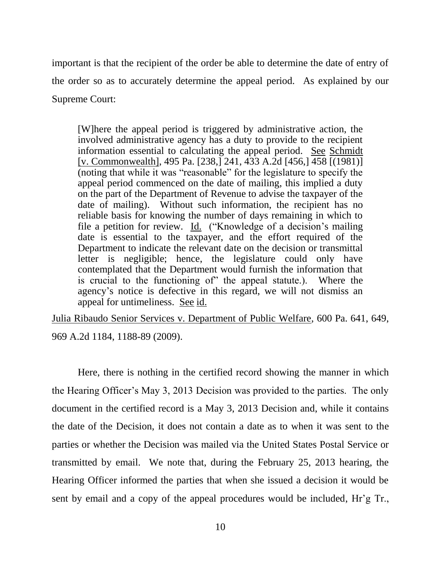important is that the recipient of the order be able to determine the date of entry of the order so as to accurately determine the appeal period. As explained by our Supreme Court:

[W]here the appeal period is triggered by administrative action, the involved administrative agency has a duty to provide to the recipient information essential to calculating the appeal period. See Schmidt [v. Commonwealth], 495 Pa. [238,] 241, 433 A.2d [456,] 458 [(1981)] (noting that while it was "reasonable" for the legislature to specify the appeal period commenced on the date of mailing, this implied a duty on the part of the Department of Revenue to advise the taxpayer of the date of mailing). Without such information, the recipient has no reliable basis for knowing the number of days remaining in which to file a petition for review. Id. ("Knowledge of a decision's mailing date is essential to the taxpayer, and the effort required of the Department to indicate the relevant date on the decision or transmittal letter is negligible; hence, the legislature could only have contemplated that the Department would furnish the information that is crucial to the functioning of" the appeal statute.). Where the agency's notice is defective in this regard, we will not dismiss an appeal for untimeliness. See id.

Julia Ribaudo Senior Services v. Department of Public Welfare, 600 Pa. 641, 649, 969 A.2d 1184, 1188-89 (2009).

Here, there is nothing in the certified record showing the manner in which the Hearing Officer's May 3, 2013 Decision was provided to the parties. The only document in the certified record is a May 3, 2013 Decision and, while it contains the date of the Decision, it does not contain a date as to when it was sent to the parties or whether the Decision was mailed via the United States Postal Service or transmitted by email. We note that, during the February 25, 2013 hearing, the Hearing Officer informed the parties that when she issued a decision it would be sent by email and a copy of the appeal procedures would be included, Hr'g Tr.,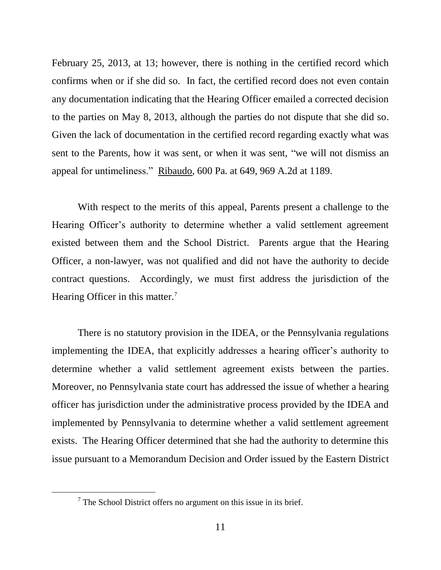February 25, 2013, at 13; however, there is nothing in the certified record which confirms when or if she did so. In fact, the certified record does not even contain any documentation indicating that the Hearing Officer emailed a corrected decision to the parties on May 8, 2013, although the parties do not dispute that she did so. Given the lack of documentation in the certified record regarding exactly what was sent to the Parents, how it was sent, or when it was sent, "we will not dismiss an appeal for untimeliness." Ribaudo, 600 Pa. at 649, 969 A.2d at 1189.

With respect to the merits of this appeal, Parents present a challenge to the Hearing Officer's authority to determine whether a valid settlement agreement existed between them and the School District. Parents argue that the Hearing Officer, a non-lawyer, was not qualified and did not have the authority to decide contract questions. Accordingly, we must first address the jurisdiction of the Hearing Officer in this matter. $7$ 

There is no statutory provision in the IDEA, or the Pennsylvania regulations implementing the IDEA, that explicitly addresses a hearing officer's authority to determine whether a valid settlement agreement exists between the parties. Moreover, no Pennsylvania state court has addressed the issue of whether a hearing officer has jurisdiction under the administrative process provided by the IDEA and implemented by Pennsylvania to determine whether a valid settlement agreement exists. The Hearing Officer determined that she had the authority to determine this issue pursuant to a Memorandum Decision and Order issued by the Eastern District

 $7$  The School District offers no argument on this issue in its brief.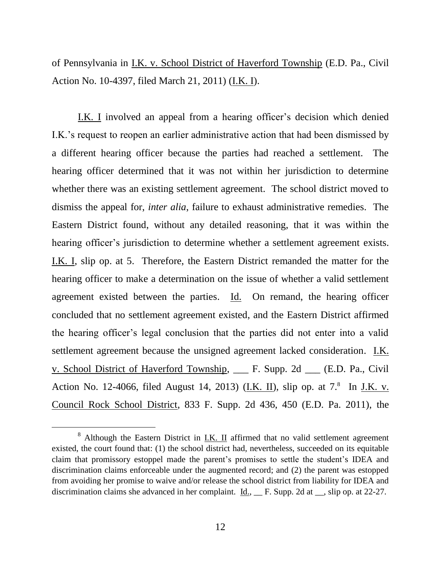of Pennsylvania in I.K. v. School District of Haverford Township (E.D. Pa., Civil Action No. 10-4397, filed March 21, 2011) (I.K. I).

I.K. I involved an appeal from a hearing officer's decision which denied I.K.'s request to reopen an earlier administrative action that had been dismissed by a different hearing officer because the parties had reached a settlement. The hearing officer determined that it was not within her jurisdiction to determine whether there was an existing settlement agreement. The school district moved to dismiss the appeal for, *inter alia*, failure to exhaust administrative remedies. The Eastern District found, without any detailed reasoning, that it was within the hearing officer's jurisdiction to determine whether a settlement agreement exists. I.K. I, slip op. at 5. Therefore, the Eastern District remanded the matter for the hearing officer to make a determination on the issue of whether a valid settlement agreement existed between the parties. Id. On remand, the hearing officer concluded that no settlement agreement existed, and the Eastern District affirmed the hearing officer's legal conclusion that the parties did not enter into a valid settlement agreement because the unsigned agreement lacked consideration. I.K. v. School District of Haverford Township, \_\_\_ F. Supp. 2d \_\_\_ (E.D. Pa., Civil Action No. 12-4066, filed August 14, 2013) (*I.K. II*), slip op. at  $7<sup>8</sup>$  In *J.K. v.* Council Rock School District, 833 F. Supp. 2d 436, 450 (E.D. Pa. 2011), the

 $8$  Although the Eastern District in  $\underline{\text{I.K. II}}$  affirmed that no valid settlement agreement existed, the court found that: (1) the school district had, nevertheless, succeeded on its equitable claim that promissory estoppel made the parent's promises to settle the student's IDEA and discrimination claims enforceable under the augmented record; and (2) the parent was estopped from avoiding her promise to waive and/or release the school district from liability for IDEA and discrimination claims she advanced in her complaint. <u>Id., </u> F. Supp. 2d at \_\_, slip op. at 22-27.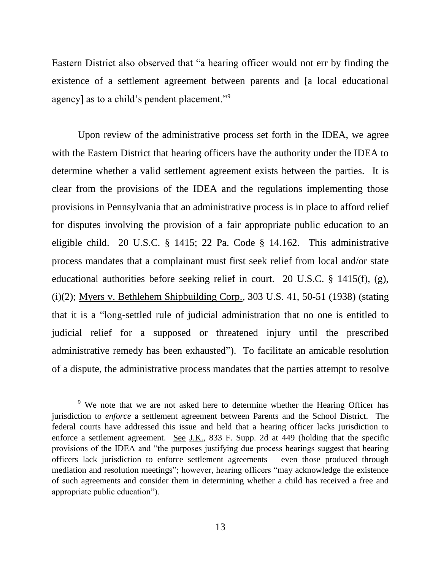Eastern District also observed that "a hearing officer would not err by finding the existence of a settlement agreement between parents and [a local educational agency] as to a child's pendent placement."<sup>9</sup>

Upon review of the administrative process set forth in the IDEA, we agree with the Eastern District that hearing officers have the authority under the IDEA to determine whether a valid settlement agreement exists between the parties. It is clear from the provisions of the IDEA and the regulations implementing those provisions in Pennsylvania that an administrative process is in place to afford relief for disputes involving the provision of a fair appropriate public education to an eligible child. 20 U.S.C. § 1415; 22 Pa. Code § 14.162. This administrative process mandates that a complainant must first seek relief from local and/or state educational authorities before seeking relief in court. 20 U.S.C. § 1415(f), (g), (i)(2); Myers v. Bethlehem Shipbuilding Corp., 303 U.S. 41, 50-51 (1938) (stating that it is a "long-settled rule of judicial administration that no one is entitled to judicial relief for a supposed or threatened injury until the prescribed administrative remedy has been exhausted"). To facilitate an amicable resolution of a dispute, the administrative process mandates that the parties attempt to resolve

<sup>&</sup>lt;sup>9</sup> We note that we are not asked here to determine whether the Hearing Officer has jurisdiction to *enforce* a settlement agreement between Parents and the School District. The federal courts have addressed this issue and held that a hearing officer lacks jurisdiction to enforce a settlement agreement. See J.K., 833 F. Supp. 2d at 449 (holding that the specific provisions of the IDEA and "the purposes justifying due process hearings suggest that hearing officers lack jurisdiction to enforce settlement agreements – even those produced through mediation and resolution meetings"; however, hearing officers "may acknowledge the existence of such agreements and consider them in determining whether a child has received a free and appropriate public education").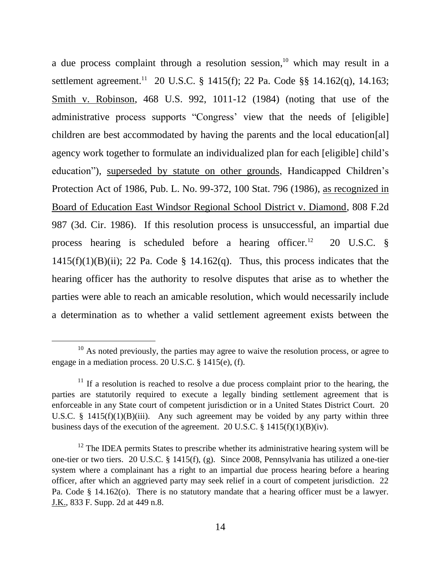a due process complaint through a resolution session, <sup>10</sup> which may result in a settlement agreement.<sup>11</sup> 20 U.S.C. § 1415(f); 22 Pa. Code §§ 14.162(q), 14.163; Smith v. Robinson, 468 U.S. 992, 1011-12 (1984) (noting that use of the administrative process supports "Congress' view that the needs of [eligible] children are best accommodated by having the parents and the local education[al] agency work together to formulate an individualized plan for each [eligible] child's education"), superseded by statute on other grounds, Handicapped Children's Protection Act of 1986, Pub. L. No. 99-372, 100 Stat. 796 (1986), as recognized in Board of Education East Windsor Regional School District v. Diamond, 808 F.2d 987 (3d. Cir. 1986). If this resolution process is unsuccessful, an impartial due process hearing is scheduled before a hearing officer.<sup>12</sup> 20 U.S.C. §  $1415(f)(1)(B)(ii)$ ; 22 Pa. Code § 14.162(q). Thus, this process indicates that the hearing officer has the authority to resolve disputes that arise as to whether the parties were able to reach an amicable resolution, which would necessarily include a determination as to whether a valid settlement agreement exists between the

 $10$  As noted previously, the parties may agree to waive the resolution process, or agree to engage in a mediation process. 20 U.S.C. § 1415(e), (f).

 $11$  If a resolution is reached to resolve a due process complaint prior to the hearing, the parties are statutorily required to execute a legally binding settlement agreement that is enforceable in any State court of competent jurisdiction or in a United States District Court. 20 U.S.C.  $\S$  1415(f)(1)(B)(iii). Any such agreement may be voided by any party within three business days of the execution of the agreement. 20 U.S.C.  $\S$  1415(f)(1)(B)(iv).

 $12$  The IDEA permits States to prescribe whether its administrative hearing system will be one-tier or two tiers. 20 U.S.C. § 1415(f), (g). Since 2008, Pennsylvania has utilized a one-tier system where a complainant has a right to an impartial due process hearing before a hearing officer, after which an aggrieved party may seek relief in a court of competent jurisdiction. 22 Pa. Code § 14.162(o). There is no statutory mandate that a hearing officer must be a lawyer. J.K., 833 F. Supp. 2d at 449 n.8.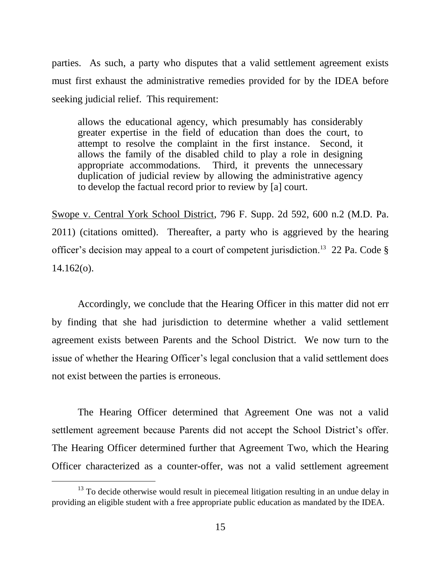parties. As such, a party who disputes that a valid settlement agreement exists must first exhaust the administrative remedies provided for by the IDEA before seeking judicial relief. This requirement:

allows the educational agency, which presumably has considerably greater expertise in the field of education than does the court, to attempt to resolve the complaint in the first instance. Second, it allows the family of the disabled child to play a role in designing appropriate accommodations. Third, it prevents the unnecessary duplication of judicial review by allowing the administrative agency to develop the factual record prior to review by [a] court.

Swope v. Central York School District, 796 F. Supp. 2d 592, 600 n.2 (M.D. Pa. 2011) (citations omitted). Thereafter, a party who is aggrieved by the hearing officer's decision may appeal to a court of competent jurisdiction.<sup>13</sup> 22 Pa. Code  $\S$  $14.162(o)$ .

Accordingly, we conclude that the Hearing Officer in this matter did not err by finding that she had jurisdiction to determine whether a valid settlement agreement exists between Parents and the School District. We now turn to the issue of whether the Hearing Officer's legal conclusion that a valid settlement does not exist between the parties is erroneous.

The Hearing Officer determined that Agreement One was not a valid settlement agreement because Parents did not accept the School District's offer. The Hearing Officer determined further that Agreement Two, which the Hearing Officer characterized as a counter-offer, was not a valid settlement agreement

 $13$  To decide otherwise would result in piecemeal litigation resulting in an undue delay in providing an eligible student with a free appropriate public education as mandated by the IDEA.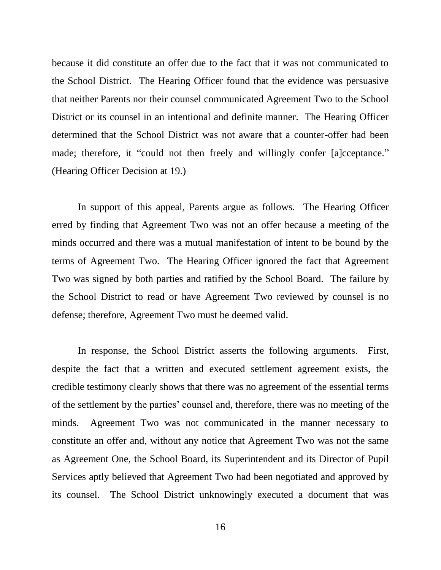because it did constitute an offer due to the fact that it was not communicated to the School District. The Hearing Officer found that the evidence was persuasive that neither Parents nor their counsel communicated Agreement Two to the School District or its counsel in an intentional and definite manner. The Hearing Officer determined that the School District was not aware that a counter-offer had been made; therefore, it "could not then freely and willingly confer [a]cceptance." (Hearing Officer Decision at 19.)

In support of this appeal, Parents argue as follows. The Hearing Officer erred by finding that Agreement Two was not an offer because a meeting of the minds occurred and there was a mutual manifestation of intent to be bound by the terms of Agreement Two. The Hearing Officer ignored the fact that Agreement Two was signed by both parties and ratified by the School Board. The failure by the School District to read or have Agreement Two reviewed by counsel is no defense; therefore, Agreement Two must be deemed valid.

In response, the School District asserts the following arguments. First, despite the fact that a written and executed settlement agreement exists, the credible testimony clearly shows that there was no agreement of the essential terms of the settlement by the parties' counsel and, therefore, there was no meeting of the minds. Agreement Two was not communicated in the manner necessary to constitute an offer and, without any notice that Agreement Two was not the same as Agreement One, the School Board, its Superintendent and its Director of Pupil Services aptly believed that Agreement Two had been negotiated and approved by its counsel. The School District unknowingly executed a document that was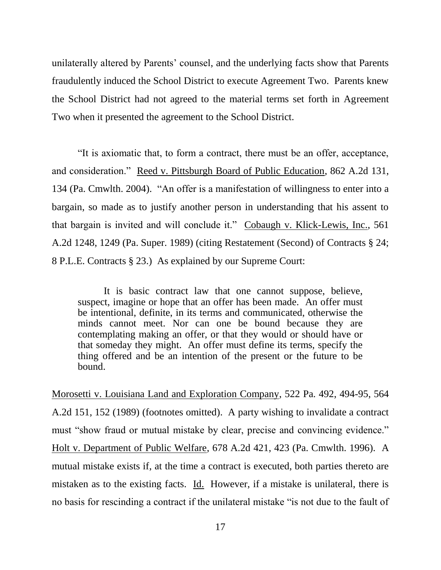unilaterally altered by Parents' counsel, and the underlying facts show that Parents fraudulently induced the School District to execute Agreement Two. Parents knew the School District had not agreed to the material terms set forth in Agreement Two when it presented the agreement to the School District.

"It is axiomatic that, to form a contract, there must be an offer, acceptance, and consideration." Reed v. Pittsburgh Board of Public Education, 862 A.2d 131, 134 (Pa. Cmwlth. 2004). "An offer is a manifestation of willingness to enter into a bargain, so made as to justify another person in understanding that his assent to that bargain is invited and will conclude it." Cobaugh v. Klick-Lewis, Inc., 561 A.2d 1248, 1249 (Pa. Super. 1989) (citing Restatement (Second) of Contracts § 24; 8 P.L.E. Contracts § 23.) As explained by our Supreme Court:

It is basic contract law that one cannot suppose, believe, suspect, imagine or hope that an offer has been made. An offer must be intentional, definite, in its terms and communicated, otherwise the minds cannot meet. Nor can one be bound because they are contemplating making an offer, or that they would or should have or that someday they might. An offer must define its terms, specify the thing offered and be an intention of the present or the future to be bound.

Morosetti v. Louisiana Land and Exploration Company, 522 Pa. 492, 494-95, 564 A.2d 151, 152 (1989) (footnotes omitted). A party wishing to invalidate a contract must "show fraud or mutual mistake by clear, precise and convincing evidence." Holt v. Department of Public Welfare, 678 A.2d 421, 423 (Pa. Cmwlth. 1996). A mutual mistake exists if, at the time a contract is executed, both parties thereto are mistaken as to the existing facts. Id. However, if a mistake is unilateral, there is no basis for rescinding a contract if the unilateral mistake "is not due to the fault of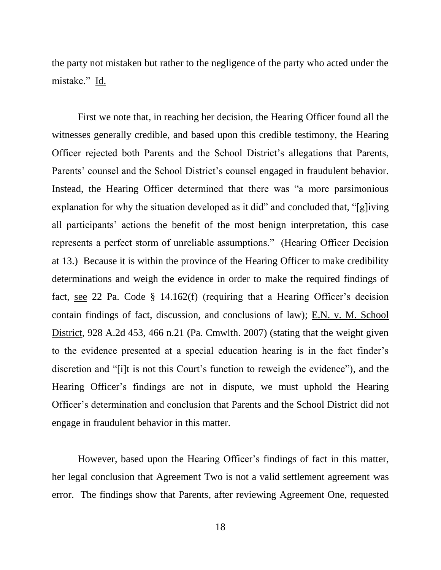the party not mistaken but rather to the negligence of the party who acted under the mistake." Id.

First we note that, in reaching her decision, the Hearing Officer found all the witnesses generally credible, and based upon this credible testimony, the Hearing Officer rejected both Parents and the School District's allegations that Parents, Parents' counsel and the School District's counsel engaged in fraudulent behavior. Instead, the Hearing Officer determined that there was "a more parsimonious explanation for why the situation developed as it did" and concluded that, "[g]iving all participants' actions the benefit of the most benign interpretation, this case represents a perfect storm of unreliable assumptions." (Hearing Officer Decision at 13.) Because it is within the province of the Hearing Officer to make credibility determinations and weigh the evidence in order to make the required findings of fact, see 22 Pa. Code § 14.162(f) (requiring that a Hearing Officer's decision contain findings of fact, discussion, and conclusions of law); E.N. v. M. School District, 928 A.2d 453, 466 n.21 (Pa. Cmwlth. 2007) (stating that the weight given to the evidence presented at a special education hearing is in the fact finder's discretion and "[i]t is not this Court's function to reweigh the evidence"), and the Hearing Officer's findings are not in dispute, we must uphold the Hearing Officer's determination and conclusion that Parents and the School District did not engage in fraudulent behavior in this matter.

However, based upon the Hearing Officer's findings of fact in this matter, her legal conclusion that Agreement Two is not a valid settlement agreement was error. The findings show that Parents, after reviewing Agreement One, requested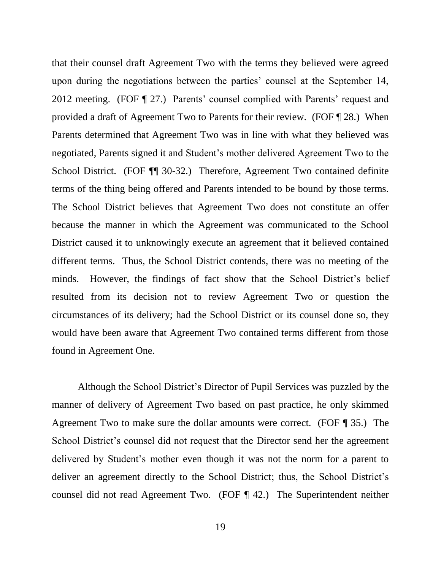that their counsel draft Agreement Two with the terms they believed were agreed upon during the negotiations between the parties' counsel at the September 14, 2012 meeting. (FOF ¶ 27.) Parents' counsel complied with Parents' request and provided a draft of Agreement Two to Parents for their review. (FOF ¶ 28.) When Parents determined that Agreement Two was in line with what they believed was negotiated, Parents signed it and Student's mother delivered Agreement Two to the School District. (FOF ¶¶ 30-32.) Therefore, Agreement Two contained definite terms of the thing being offered and Parents intended to be bound by those terms. The School District believes that Agreement Two does not constitute an offer because the manner in which the Agreement was communicated to the School District caused it to unknowingly execute an agreement that it believed contained different terms. Thus, the School District contends, there was no meeting of the minds. However, the findings of fact show that the School District's belief resulted from its decision not to review Agreement Two or question the circumstances of its delivery; had the School District or its counsel done so, they would have been aware that Agreement Two contained terms different from those found in Agreement One.

Although the School District's Director of Pupil Services was puzzled by the manner of delivery of Agreement Two based on past practice, he only skimmed Agreement Two to make sure the dollar amounts were correct. (FOF ¶ 35.) The School District's counsel did not request that the Director send her the agreement delivered by Student's mother even though it was not the norm for a parent to deliver an agreement directly to the School District; thus, the School District's counsel did not read Agreement Two. (FOF ¶ 42.) The Superintendent neither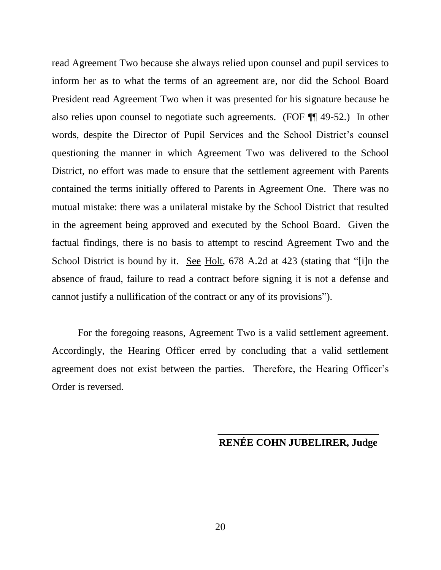read Agreement Two because she always relied upon counsel and pupil services to inform her as to what the terms of an agreement are, nor did the School Board President read Agreement Two when it was presented for his signature because he also relies upon counsel to negotiate such agreements. (FOF ¶¶ 49-52.) In other words, despite the Director of Pupil Services and the School District's counsel questioning the manner in which Agreement Two was delivered to the School District, no effort was made to ensure that the settlement agreement with Parents contained the terms initially offered to Parents in Agreement One. There was no mutual mistake: there was a unilateral mistake by the School District that resulted in the agreement being approved and executed by the School Board. Given the factual findings, there is no basis to attempt to rescind Agreement Two and the School District is bound by it. See Holt, 678 A.2d at 423 (stating that "[i]n the absence of fraud, failure to read a contract before signing it is not a defense and cannot justify a nullification of the contract or any of its provisions").

For the foregoing reasons, Agreement Two is a valid settlement agreement. Accordingly, the Hearing Officer erred by concluding that a valid settlement agreement does not exist between the parties. Therefore, the Hearing Officer's Order is reversed.

# **\_\_\_\_\_\_\_\_\_\_\_\_\_\_\_\_\_\_\_\_\_\_\_\_\_\_\_\_\_\_\_\_ RENÉE COHN JUBELIRER, Judge**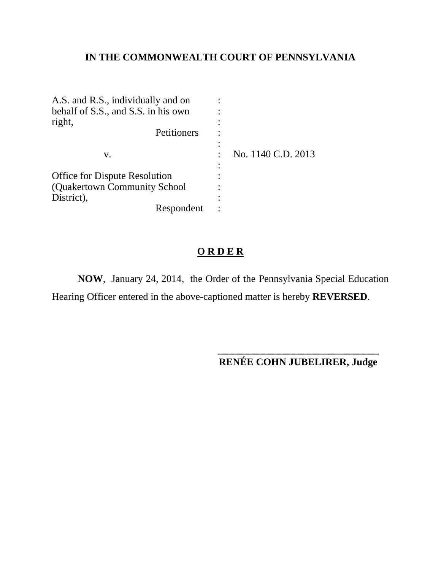# **IN THE COMMONWEALTH COURT OF PENNSYLVANIA**

| A.S. and R.S., individually and on   |                    |
|--------------------------------------|--------------------|
| behalf of S.S., and S.S. in his own  |                    |
| right,                               |                    |
| Petitioners                          |                    |
|                                      |                    |
| V.                                   | No. 1140 C.D. 2013 |
|                                      |                    |
| <b>Office for Dispute Resolution</b> |                    |
| (Quakertown Community School)        |                    |
| District),                           |                    |
| Respondent                           |                    |

# **O R D E R**

**NOW**, January 24, 2014, the Order of the Pennsylvania Special Education Hearing Officer entered in the above-captioned matter is hereby **REVERSED**.

> **\_\_\_\_\_\_\_\_\_\_\_\_\_\_\_\_\_\_\_\_\_\_\_\_\_\_\_\_\_\_\_\_ RENÉE COHN JUBELIRER, Judge**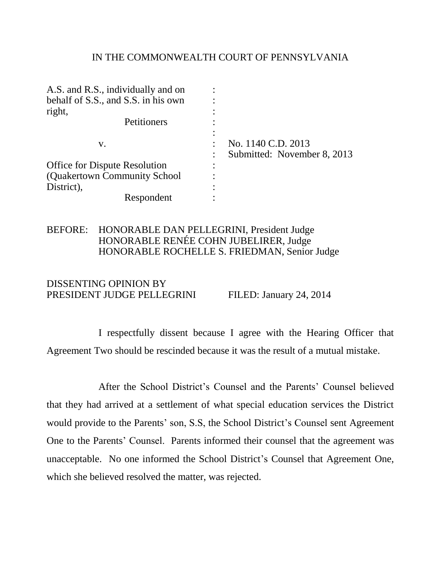### IN THE COMMONWEALTH COURT OF PENNSYLVANIA

| A.S. and R.S., individually and on   |                             |
|--------------------------------------|-----------------------------|
| behalf of S.S., and S.S. in his own  |                             |
| right,                               |                             |
| Petitioners                          |                             |
|                                      |                             |
| V.                                   | No. 1140 C.D. 2013          |
|                                      | Submitted: November 8, 2013 |
| <b>Office for Dispute Resolution</b> |                             |
| (Quakertown Community School)        |                             |
| District),                           |                             |
| Respondent                           |                             |

## BEFORE: HONORABLE DAN PELLEGRINI, President Judge HONORABLE RENÉE COHN JUBELIRER, Judge HONORABLE ROCHELLE S. FRIEDMAN, Senior Judge

# DISSENTING OPINION BY PRESIDENT JUDGE PELLEGRINI FILED: January 24, 2014

I respectfully dissent because I agree with the Hearing Officer that Agreement Two should be rescinded because it was the result of a mutual mistake.

After the School District's Counsel and the Parents' Counsel believed that they had arrived at a settlement of what special education services the District would provide to the Parents' son, S.S, the School District's Counsel sent Agreement One to the Parents' Counsel. Parents informed their counsel that the agreement was unacceptable. No one informed the School District's Counsel that Agreement One, which she believed resolved the matter, was rejected.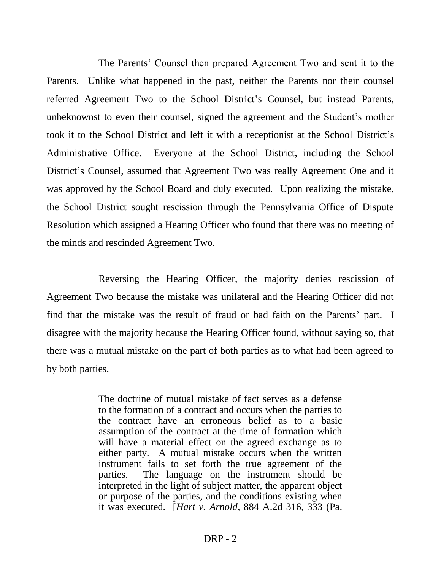The Parents' Counsel then prepared Agreement Two and sent it to the Parents. Unlike what happened in the past, neither the Parents nor their counsel referred Agreement Two to the School District's Counsel, but instead Parents, unbeknownst to even their counsel, signed the agreement and the Student's mother took it to the School District and left it with a receptionist at the School District's Administrative Office. Everyone at the School District, including the School District's Counsel, assumed that Agreement Two was really Agreement One and it was approved by the School Board and duly executed. Upon realizing the mistake, the School District sought rescission through the Pennsylvania Office of Dispute Resolution which assigned a Hearing Officer who found that there was no meeting of the minds and rescinded Agreement Two.

Reversing the Hearing Officer, the majority denies rescission of Agreement Two because the mistake was unilateral and the Hearing Officer did not find that the mistake was the result of fraud or bad faith on the Parents' part. I disagree with the majority because the Hearing Officer found, without saying so, that there was a mutual mistake on the part of both parties as to what had been agreed to by both parties.

> The doctrine of mutual mistake of fact serves as a defense to the formation of a contract and occurs when the parties to the contract have an erroneous belief as to a basic assumption of the contract at the time of formation which will have a material effect on the agreed exchange as to either party. A mutual mistake occurs when the written instrument fails to set forth the true agreement of the parties. The language on the instrument should be interpreted in the light of subject matter, the apparent object or purpose of the parties, and the conditions existing when it was executed. [*Hart v. Arnold*, 884 A.2d 316, 333 (Pa.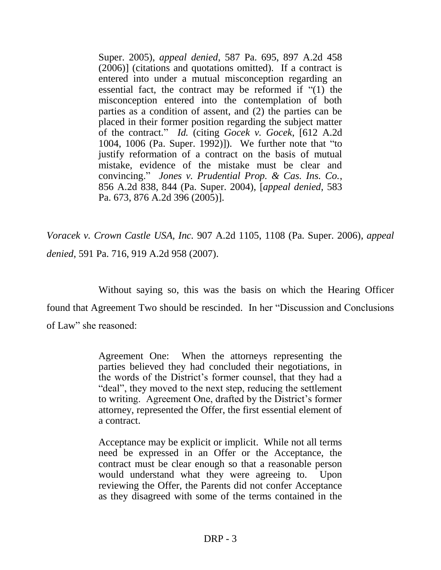Super. 2005), *appeal denied*, 587 Pa. 695, 897 A.2d 458 (2006)] (citations and quotations omitted). If a contract is entered into under a mutual misconception regarding an essential fact, the contract may be reformed if "(1) the misconception entered into the contemplation of both parties as a condition of assent, and (2) the parties can be placed in their former position regarding the subject matter of the contract." *Id.* (citing *Gocek v. Gocek*, [612 A.2d 1004, 1006 (Pa. Super. 1992)]). We further note that "to justify reformation of a contract on the basis of mutual mistake, evidence of the mistake must be clear and convincing." *Jones v. Prudential Prop. & Cas. Ins. Co.*, 856 A.2d 838, 844 (Pa. Super. 2004), [*appeal denied*, 583 Pa. 673, 876 A.2d 396 (2005)].

*Voracek v. Crown Castle USA, Inc.* 907 A.2d 1105, 1108 (Pa. Super. 2006), *appeal denied*, 591 Pa. 716, 919 A.2d 958 (2007).

Without saying so, this was the basis on which the Hearing Officer found that Agreement Two should be rescinded. In her "Discussion and Conclusions of Law" she reasoned:

> Agreement One: When the attorneys representing the parties believed they had concluded their negotiations, in the words of the District's former counsel, that they had a "deal", they moved to the next step, reducing the settlement to writing. Agreement One, drafted by the District's former attorney, represented the Offer, the first essential element of a contract.

> Acceptance may be explicit or implicit. While not all terms need be expressed in an Offer or the Acceptance, the contract must be clear enough so that a reasonable person would understand what they were agreeing to. Upon reviewing the Offer, the Parents did not confer Acceptance as they disagreed with some of the terms contained in the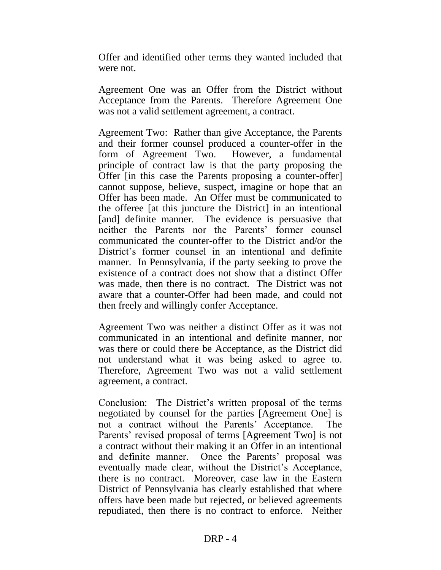Offer and identified other terms they wanted included that were not.

Agreement One was an Offer from the District without Acceptance from the Parents. Therefore Agreement One was not a valid settlement agreement, a contract.

Agreement Two: Rather than give Acceptance, the Parents and their former counsel produced a counter-offer in the form of Agreement Two. However, a fundamental principle of contract law is that the party proposing the Offer [in this case the Parents proposing a counter-offer] cannot suppose, believe, suspect, imagine or hope that an Offer has been made. An Offer must be communicated to the offeree [at this juncture the District] in an intentional [and] definite manner. The evidence is persuasive that neither the Parents nor the Parents' former counsel communicated the counter-offer to the District and/or the District's former counsel in an intentional and definite manner. In Pennsylvania, if the party seeking to prove the existence of a contract does not show that a distinct Offer was made, then there is no contract. The District was not aware that a counter-Offer had been made, and could not then freely and willingly confer Acceptance.

Agreement Two was neither a distinct Offer as it was not communicated in an intentional and definite manner, nor was there or could there be Acceptance, as the District did not understand what it was being asked to agree to. Therefore, Agreement Two was not a valid settlement agreement, a contract.

Conclusion: The District's written proposal of the terms negotiated by counsel for the parties [Agreement One] is not a contract without the Parents' Acceptance. The Parents' revised proposal of terms [Agreement Two] is not a contract without their making it an Offer in an intentional and definite manner. Once the Parents' proposal was eventually made clear, without the District's Acceptance, there is no contract. Moreover, case law in the Eastern District of Pennsylvania has clearly established that where offers have been made but rejected, or believed agreements repudiated, then there is no contract to enforce. Neither